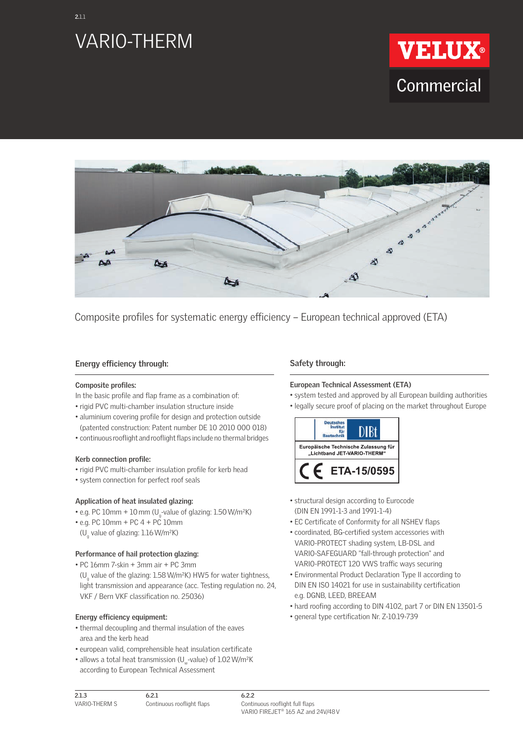





Composite profiles for systematic energy efficiency – European technical approved (ETA)

## **Energy efficiency through:**

#### **Composite profiles:**

- In the basic profile and flap frame as a combination of:
- rigid PVC multi-chamber insulation structure inside
- aluminium covering profile for design and protection outside (patented construction: Patent number DE 10 2010 000 018)
- continuous rooflight and rooflight flaps include no thermal bridges

## **Kerb connection profile:**

- rigid PVC multi-chamber insulation profile for kerb head
- system connection for perfect roof seals

## **Application of heat insulated glazing:**

- e.g. PC  $10$ mm +  $10$  mm (U<sub>g</sub>-value of glazing:  $1.50$  W/m<sup>2</sup>K)
- e.g. PC 10mm + PC 4 + PC 10mm
- (U<sub>g</sub> value of glazing: 1.16 W/m<sup>2</sup>K)

## **Performance of hail protection glazing:**

- PC 16mm 7-skin + 3mm air + PC 3mm
- (U<sub>g</sub> value of the glazing: 1.58 W/m<sup>2</sup>K) HW5 for water tightness, light transmission and appearance (acc. Testing regulation no. 24, VKF / Bern VKF classification no. 25036)

## **Energy efficiency equipment:**

**2.1.3**

- thermal decoupling and thermal insulation of the eaves area and the kerb head
- european valid, comprehensible heat insulation certificate
- allows a total heat transmission (U<sub>w</sub>-value) of 1.02 W/m<sup>2</sup>K

# according to European Technical Assessment

## **Safety through:**

## **European Technical Assessment (ETA)**

- system tested and approved by all European building authorities
- legally secure proof of placing on the market throughout Europe

![](_page_0_Picture_29.jpeg)

- structural design according to Eurocode (DIN EN 1991-1-3 and 1991-1-4)
- EC Certificate of Conformity for all NSHEV flaps
- coordinated, BG-certified system accessories with VARIO-PROTECT shading system, LB-DSL and VARIO-SAFEGUARD "fall-through protection" and VARIO-PROTECT 120 VWS traffic ways securing
- Environmental Product Declaration Type II according to DIN EN ISO 14021 for use in sustainability certification e.g. DGNB, LEED, BREEAM
- hard roofing according to DIN 4102, part 7 or DIN EN 13501-5
- general type certification Nr. Z-10.19-739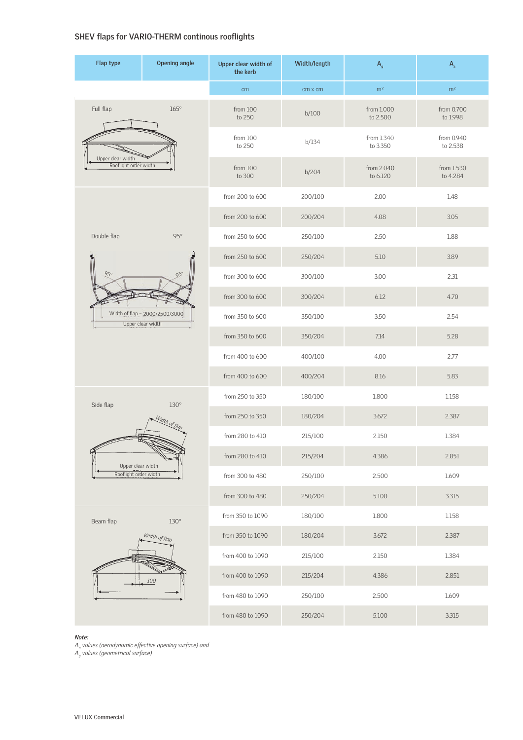## SHEV flaps for VARIO-THERM continous rooflights

| Flap type                                                  | <b>Opening angle</b>                | Upper clear width of<br>the kerb | Width/length   | $A_{\rm g}$            | $A_a$                  |
|------------------------------------------------------------|-------------------------------------|----------------------------------|----------------|------------------------|------------------------|
|                                                            |                                     | cm                               | $cm \times cm$ | m <sup>2</sup>         | m <sup>2</sup>         |
| Full flap                                                  | $165^\circ$                         | from 100<br>to 250               | b/100          | from 1.000<br>to 2.500 | from 0.700<br>to 1.998 |
|                                                            |                                     | from 100<br>to 250               | b/134          | from 1.340<br>to 3.350 | from 0.940<br>to 2.538 |
| Upper clear width<br>Rooflight order width                 |                                     | from 100<br>to 300               | b/204          | from 2.040<br>to 6.120 | from 1.530<br>to 4.284 |
|                                                            |                                     | from 200 to 600                  | 200/100        | 2.00                   | 1.48                   |
|                                                            | $95^\circ$                          | from 200 to 600                  | 200/204        | 4.08                   | 3.05                   |
| Double flap                                                |                                     | from 250 to 600                  | 250/100        | 2.50                   | 1.88                   |
| 950<br>Width of flap - 2000/2500/3000<br>Upper clear width | $95^\circ$                          | from 250 to 600                  | 250/204        | 5.10                   | 3.89                   |
|                                                            |                                     | from 300 to 600                  | 300/100        | 3.00                   | 2.31                   |
|                                                            |                                     | from 300 to 600                  | 300/204        | 6.12                   | 4.70                   |
|                                                            |                                     | from 350 to 600                  | 350/100        | 3.50                   | 2.54                   |
|                                                            |                                     | from 350 to 600                  | 350/204        | 7.14                   | 5.28                   |
|                                                            |                                     | from 400 to 600                  | 400/100        | 4.00                   | 2.77                   |
|                                                            |                                     | from 400 to 600                  | 400/204        | 8.16                   | 5.83                   |
| Side flap<br>Upper clear width<br>Rooflight order width    | $130^\circ$<br>Width of flop        | from 250 to 350                  | 180/100        | 1.800                  | 1.158                  |
|                                                            |                                     | from 250 to 350                  | 180/204        | 3.672                  | 2.387                  |
|                                                            |                                     | from 280 to 410                  | 215/100        | 2.150                  | 1.384                  |
|                                                            |                                     | from 280 to 410                  | 215/204        | 4.386                  | 2.851                  |
|                                                            |                                     | from 300 to 480                  | 250/100        | 2.500                  | 1.609                  |
|                                                            |                                     | from 300 to 480                  | 250/204        | 5.100                  | 3.315                  |
| Beam flap                                                  | $130^\circ$<br>Width of flap<br>100 | from 350 to 1090                 | 180/100        | 1.800                  | 1.158                  |
|                                                            |                                     | from 350 to 1090                 | 180/204        | 3.672                  | 2.387                  |
|                                                            |                                     | from 400 to 1090                 | 215/100        | 2.150                  | 1.384                  |
|                                                            |                                     | from 400 to 1090                 | 215/204        | 4.386                  | 2.851                  |
|                                                            |                                     | from 480 to 1090                 | 250/100        | 2.500                  | 1.609                  |
|                                                            |                                     | from 480 to 1090                 | 250/204        | 5.100                  | 3.315                  |

#### *Note:*

 $A_{\scriptscriptstyle \alpha}$  values (aerodynamic effective opening surface) and

*Ag values (geometrical surface)*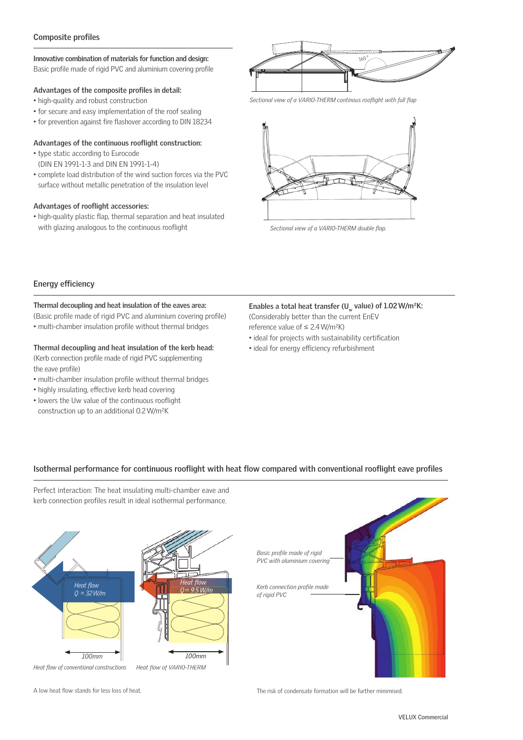## **Composite profiles**

#### **Innovative combination of materials for function and design:** Basic profile made of rigid PVC and aluminium covering profile

## Advantages of the composite profiles in detail:

- high-quality and robust construction
- for secure and easy implementation of the roof sealing
- for prevention against fire flashover according to DIN 18234

### Advantages of the continuous rooflight construction:

- type static according to Eurocode (DIN EN 1991-1-3 and DIN EN 1991-1-4)
- complete load distribution of the wind suction forces via the PVC surface without metallic penetration of the insulation level

## Advantages of rooflight accessories:

• high-quality plastic flap, thermal separation and heat insulated with glazing analogous to the continuous rooflight

![](_page_2_Figure_11.jpeg)

Sectional view of a VARIO-THERM continous rooflight with full flap

![](_page_2_Picture_13.jpeg)

Sectional view of a VARIO-THERM double flap.

## **Energy efficiency**

#### **Thermal decoupling and heat insulation of the eaves area:**

(Basic profile made of rigid PVC and aluminium covering profile) • multi-chamber insulation profile without thermal bridges

## **Thermal decoupling and heat insulation of the kerb head:**

(Kerb connection profile made of rigid PVC supplementing the eave profile)

- multi-chamber insulation profile without thermal bridges
- highly insulating, effective kerb head covering
- lowers the Uw value of the continuous rooflight construction up to an additional 0.2 W/m²K

#### Enables a total heat transfer (U<sub>w</sub> value) of 1.02 W/m<sup>2</sup>K: (Considerably better than the current EnEV

reference value of  $\leq 2.4$  W/m<sup>2</sup>K)

- ideal for projects with sustainability certification
- ideal for energy efficiency refurbishment

## Isothermal performance for continuous rooflight with heat flow compared with conventional rooflight eave profiles

Perfect interaction: The heat insulating multi-chamber eave and kerb connection profiles result in ideal isothermal performance.

![](_page_2_Figure_29.jpeg)

![](_page_2_Picture_30.jpeg)

A low heat flow stands for less loss of heat.